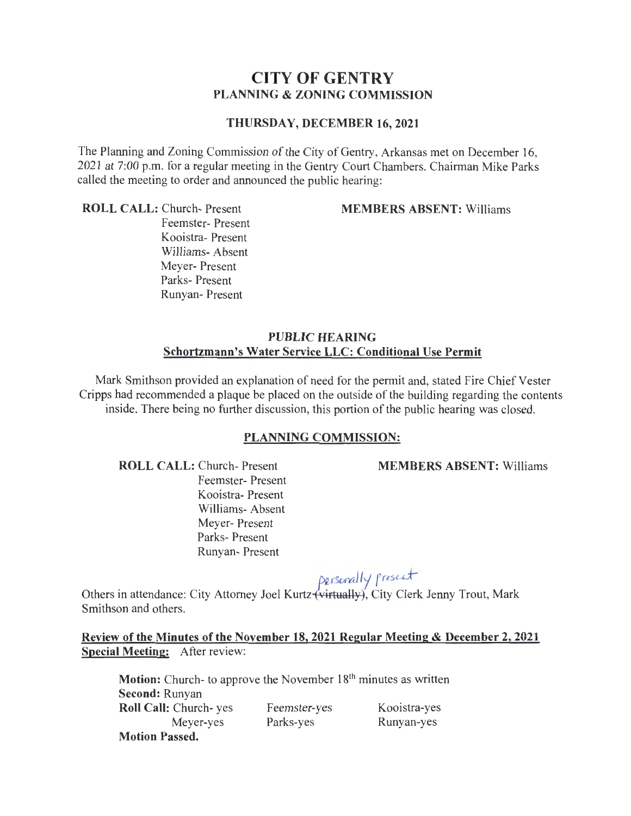## CITY OF GENTRY PLANNING & ZONING COMMISSION

#### THURSDAY, DECEMBER 16, 2021

The Planning and Zoning Commission of the City of Gentry, Arkansas met on December 16, 2021 at 7:00 p.m. for a regular meeting in the Gentry Court Chambers. Chairman Mike Parks called the meeting to order and announced the public hearing:

ROLL CALL: Church- Present

MEMBERS ABSENT: Williams

Feemster- Present Kooistra- Present Williams- Absent Meyer- Present Parks- Present Runyan- Present

### PUBLIC HEARING Schortzmann's Water Service LLC: Conditional Use Permit

Mark Smithson provided an explanation of need for the permit and, stated Fire Chief Vester Cripps had recommended a plaque be placed on the outside of the building regarding the contents inside. There being no further discussion, this portion of the public hearing was closed.

#### PLANNING COMMISSION:

ROLL CALL: Church- Present

Feemster- Present Kooistra- Present Williams- Absent Meyer- Present Parks- Present Runyan- Present

MEMBERS ABSENT: Williams

# *pg\_,rs£Jrally* ra~ul-

Others in attendance: City Attorney Joel Kurtz (virtually), City Clerk Jenny Trout, Mark Smithson and others.

Review of the Minutes of the November 18, 2021 Regular Meeting & December 2, 2021 Special Meeting: After review:

**Motion:** Church- to approve the November  $18<sup>th</sup>$  minutes as written Second: Runyan Roll Call: Church- yes Meyer-yes Motion Passed. Feemster-yes Parks-yes Kooistra-yes Runyan-yes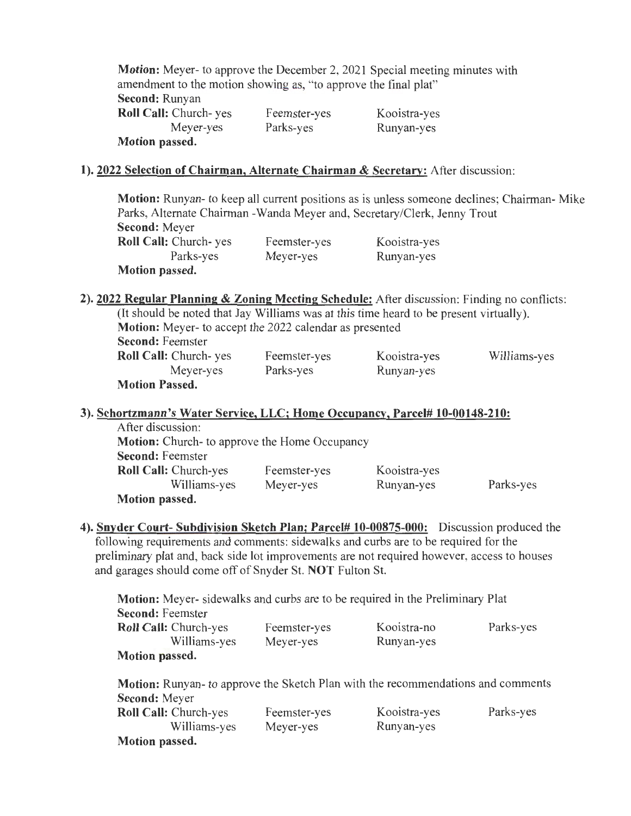| Motion: Meyer- to approve the December 2, 2021 Special meeting minutes with |              |              |
|-----------------------------------------------------------------------------|--------------|--------------|
| amendment to the motion showing as, "to approve the final plat"             |              |              |
| Second: Runyan                                                              |              |              |
| Roll Call: Church-yes                                                       | Feemster-yes | Kooistra-yes |
| Meyer-yes                                                                   | Parks-yes    | Runyan-yes   |
| Motion passed.                                                              |              |              |

#### **1). 2022 Selection of Chairman, Alternate Chairman & Secretary:** After discussion:

**Motion:** Runyan- to keep all current positions as is unless someone declines; Chairman- Mike Parks, Alternate Chairman -Wanda Meyer and, Secretary/Clerk, Jenny Trout **Second:** Meyer **Roll Call:** Church- yes Parks-yes **Motion passed.**  Feemster-yes Meyer-yes Kooistra-yes Runyan-yes

**2). 2022 Regular Planning & Zoning Meeting Schedule:** After discussion: Finding no conflicts: (It should be noted that Jay Williams was at this time heard to be present virtually). **Motion:** Meyer- to accept the 2022 calendar as presented **Second:** Feemster **Roll Call:** Church- yes Meyer-yes **Motion Passed.**  Feemster-yes Parks-yes Kooistra-yes Runyan-yes Williams-yes

#### **3). Schortzmann's Water Service, LLC; Home Occupancy, Parcel# 10-00148-210:**

| After discussion:                                    |              |              |           |
|------------------------------------------------------|--------------|--------------|-----------|
| <b>Motion:</b> Church- to approve the Home Occupancy |              |              |           |
| <b>Second: Feemster</b>                              |              |              |           |
| <b>Roll Call:</b> Church-yes                         | Feemster-yes | Kooistra-yes |           |
| Williams-yes                                         | Meyer-yes    | Runyan-yes   | Parks-yes |
| Motion passed.                                       |              |              |           |

**4). Snyder Court- Subdivision Sketch Plan; Parcel# 10-00875-000:** Discussion produced the following requirements and comments: sidewalks and curbs are to be required for the preliminary plat and, back side lot improvements are not required however, access to houses and garages should come off of Snyder St. **NOT** Fulton St.

**Motion:** Meyer- sidewalks and curbs are to be required in the Preliminary Plat **Second:** Feemster **Roll Call:** Church-yes Williams-yes **Motion passed.**  Feemster-yes Meyer-yes Kooistra-no Runyan-yes Parks-yes

| Motion: Runyan- to approve the Sketch Plan with the recommendations and comments |              |              |           |
|----------------------------------------------------------------------------------|--------------|--------------|-----------|
| <b>Second:</b> Meyer                                                             |              |              |           |
| Roll Call: Church-yes                                                            | Feemster-yes | Kooistra-yes | Parks-yes |
| Williams-yes                                                                     | Meyer-yes    | Runyan-yes   |           |
| <b>Motion passed.</b>                                                            |              |              |           |